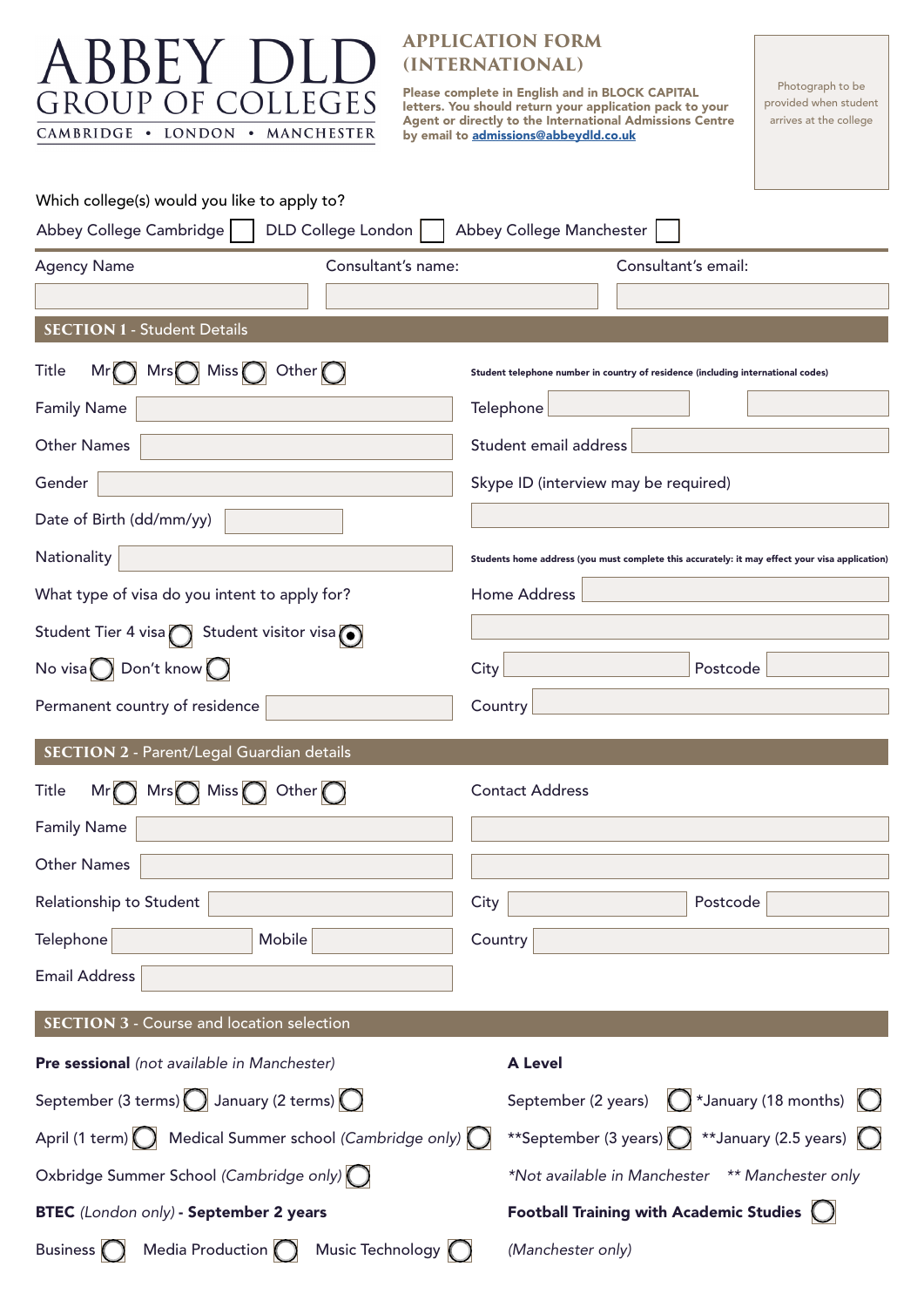| A BBEY D<br>GROUP OF<br><b>COLLEGES</b><br>CAMBRIDGE . LONDON . MANCHESTER<br>Which college(s) would you like to apply to? | <b>APPLICATION FORM</b><br>(INTERNATIONAL)<br>Photograph to be<br><b>Please complete in English and in BLOCK CAPITAL</b><br>provided when student<br>letters. You should return your application pack to your<br>arrives at the college<br>Agent or directly to the International Admissions Centre<br>by email to admissions@abbeydld.co.uk |
|----------------------------------------------------------------------------------------------------------------------------|----------------------------------------------------------------------------------------------------------------------------------------------------------------------------------------------------------------------------------------------------------------------------------------------------------------------------------------------|
| DLD College London  <br>Abbey College Cambridge                                                                            | Abbey College Manchester                                                                                                                                                                                                                                                                                                                     |
| Consultant's name:<br><b>Agency Name</b>                                                                                   | Consultant's email:                                                                                                                                                                                                                                                                                                                          |
|                                                                                                                            |                                                                                                                                                                                                                                                                                                                                              |
| <b>SECTION 1 - Student Details</b>                                                                                         |                                                                                                                                                                                                                                                                                                                                              |
| Title<br>$Mr()$ Mrs $()$ Miss $()$ Other $()$                                                                              | Student telephone number in country of residence (including international codes)                                                                                                                                                                                                                                                             |
| <b>Family Name</b>                                                                                                         | Telephone                                                                                                                                                                                                                                                                                                                                    |
| <b>Other Names</b>                                                                                                         | Student email address                                                                                                                                                                                                                                                                                                                        |
| Gender                                                                                                                     | Skype ID (interview may be required)                                                                                                                                                                                                                                                                                                         |
| Date of Birth (dd/mm/yy)                                                                                                   |                                                                                                                                                                                                                                                                                                                                              |
| Nationality                                                                                                                | Students home address (you must complete this accurately: it may effect your visa application)                                                                                                                                                                                                                                               |
| What type of visa do you intent to apply for?                                                                              | Home Address                                                                                                                                                                                                                                                                                                                                 |
| Student Tier 4 visa Student visitor visa $\odot$                                                                           |                                                                                                                                                                                                                                                                                                                                              |
| No visa $\bigcirc$ Don't know $\bigcirc$                                                                                   | City<br>Postcode                                                                                                                                                                                                                                                                                                                             |
| Permanent country of residence                                                                                             | Country L                                                                                                                                                                                                                                                                                                                                    |
|                                                                                                                            |                                                                                                                                                                                                                                                                                                                                              |
| SECTION 2 - Parent/Legal Guardian details                                                                                  |                                                                                                                                                                                                                                                                                                                                              |
| $Mr$ Mrs $\bigcap$ Miss $\bigcap$ Other $\bigcap$<br>Title                                                                 | <b>Contact Address</b>                                                                                                                                                                                                                                                                                                                       |
| <b>Family Name</b>                                                                                                         |                                                                                                                                                                                                                                                                                                                                              |
| <b>Other Names</b>                                                                                                         |                                                                                                                                                                                                                                                                                                                                              |
| Relationship to Student                                                                                                    | Postcode<br>City                                                                                                                                                                                                                                                                                                                             |
| Mobile<br>Telephone                                                                                                        | Country                                                                                                                                                                                                                                                                                                                                      |
| <b>Email Address</b>                                                                                                       |                                                                                                                                                                                                                                                                                                                                              |
| <b>SECTION 3 - Course and location selection</b>                                                                           |                                                                                                                                                                                                                                                                                                                                              |
| Pre sessional (not available in Manchester)                                                                                | <b>A Level</b>                                                                                                                                                                                                                                                                                                                               |
| September (3 terms) $\bigcirc$ January (2 terms) $\bigcirc$                                                                | September (2 years) $\bigcirc$ *January (18 months) $\bigcirc$                                                                                                                                                                                                                                                                               |
| April (1 term) $\bigcirc$ Medical Summer school (Cambridge only) $\bigcirc$                                                | **September (3 years) $\bigcirc$ **January (2.5 years) $\bigcirc$                                                                                                                                                                                                                                                                            |
| Oxbridge Summer School (Cambridge only) O                                                                                  | *Not available in Manchester ** Manchester only                                                                                                                                                                                                                                                                                              |
| BTEC (London only) - September 2 years                                                                                     | Football Training with Academic Studies $\bigcup$                                                                                                                                                                                                                                                                                            |
| Media Production $\bigcap$ Music Technology $\bigcap$<br>Business $\bigcap$                                                | (Manchester only)                                                                                                                                                                                                                                                                                                                            |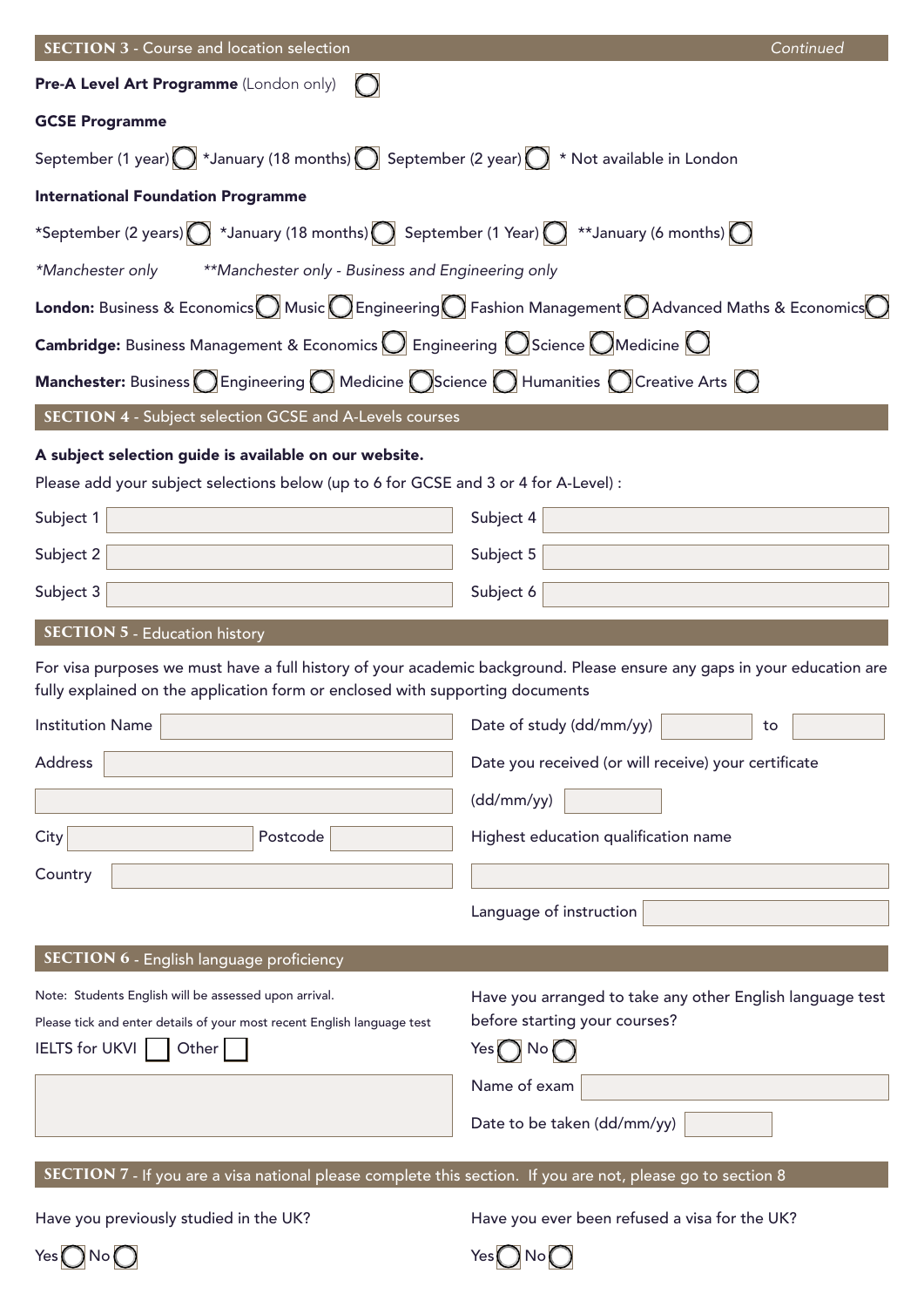| <b>SECTION 3 - Course and location selection</b>                                                                                                    | Continued                                                                                                               |  |
|-----------------------------------------------------------------------------------------------------------------------------------------------------|-------------------------------------------------------------------------------------------------------------------------|--|
| Pre-A Level Art Programme (London only)                                                                                                             |                                                                                                                         |  |
| <b>GCSE Programme</b>                                                                                                                               |                                                                                                                         |  |
| September (1 year) $\bigcirc$ *January (18 months) $\bigcirc$ September (2 year) $\bigcirc$ * Not available in London                               |                                                                                                                         |  |
| <b>International Foundation Programme</b>                                                                                                           |                                                                                                                         |  |
| *September (2 years) $\bigcirc$ *January (18 months) $\bigcirc$ September (1 Year) $\bigcirc$ **January (6 months) $\bigcirc$                       |                                                                                                                         |  |
| **Manchester only - Business and Engineering only<br>*Manchester only                                                                               |                                                                                                                         |  |
| <b>London:</b> Business & Economics Music CEngineering C Fashion Management C Advanced Maths & Economics C                                          |                                                                                                                         |  |
| <b>Cambridge:</b> Business Management & Economics $\bigcirc$ Engineering $\bigcirc$ Science $\bigcirc$ Medicine $\bigcirc$                          |                                                                                                                         |  |
| <b>Manchester:</b> Business $\bigcirc$ Engineering $\bigcirc$ Medicine $\bigcirc$ Science $\bigcirc$ Humanities $\bigcirc$ Creative Arts $\bigcirc$ |                                                                                                                         |  |
| <b>SECTION 4 - Subject selection GCSE and A-Levels courses</b>                                                                                      |                                                                                                                         |  |
| A subject selection guide is available on our website.                                                                                              |                                                                                                                         |  |
| Please add your subject selections below (up to 6 for GCSE and 3 or 4 for A-Level) :                                                                |                                                                                                                         |  |
| Subject 1                                                                                                                                           | Subject 4                                                                                                               |  |
| Subject 2                                                                                                                                           | Subject 5                                                                                                               |  |
| Subject 3                                                                                                                                           | Subject 6                                                                                                               |  |
| <b>SECTION 5 - Education history</b>                                                                                                                |                                                                                                                         |  |
| fully explained on the application form or enclosed with supporting documents                                                                       | For visa purposes we must have a full history of your academic background. Please ensure any gaps in your education are |  |
| <b>Institution Name</b>                                                                                                                             | Date of study (dd/mm/yy)  <br>to.                                                                                       |  |
| <b>Address</b>                                                                                                                                      | Date you received (or will receive) your certificate                                                                    |  |
|                                                                                                                                                     | (dd/mm/yy)                                                                                                              |  |
| City<br>Postcode                                                                                                                                    | Highest education qualification name                                                                                    |  |
| Country                                                                                                                                             |                                                                                                                         |  |
|                                                                                                                                                     | Language of instruction                                                                                                 |  |
| SECTION 6 - English language proficiency                                                                                                            |                                                                                                                         |  |
| Note: Students English will be assessed upon arrival.                                                                                               | Have you arranged to take any other English language test                                                               |  |
| Please tick and enter details of your most recent English language test                                                                             | before starting your courses?                                                                                           |  |
| <b>IELTS</b> for UKVI<br>Other                                                                                                                      | Yes $\bigcap$ No $\bigcap$                                                                                              |  |
|                                                                                                                                                     | Name of exam                                                                                                            |  |
|                                                                                                                                                     | Date to be taken (dd/mm/yy)                                                                                             |  |
| SECTION 7 - If you are a visa national please complete this section. If you are not, please go to section 8                                         |                                                                                                                         |  |
| Have you previously studied in the UK?                                                                                                              | Have you ever been refused a visa for the UK?                                                                           |  |
|                                                                                                                                                     |                                                                                                                         |  |

 $Yes$   $\bigcirc$  No  $\bigcirc$